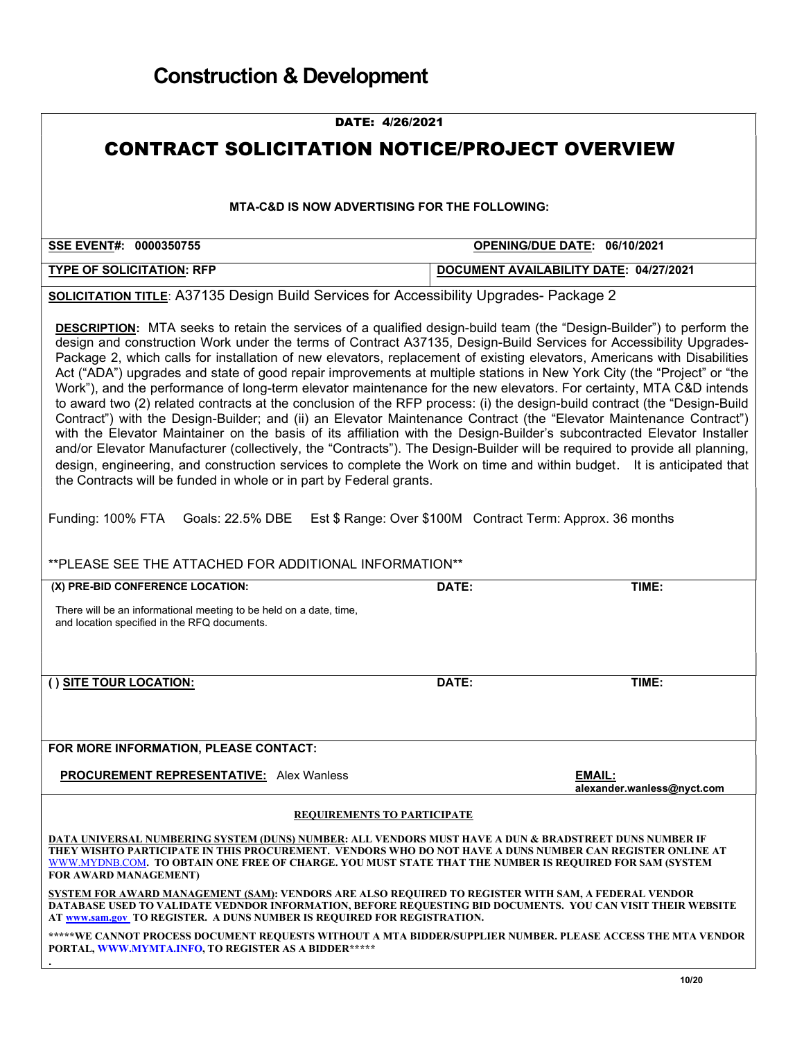| DATE: 4/26/2021                                                                                                                                                                                                                                                                                                                                                                                                                                                                                                                                                                                                                                                                                                                                                                                                                                                                                                                                                                                                                                                                                                                                                                                                                                                                                                                                                                                                                                     |                                        |                                             |
|-----------------------------------------------------------------------------------------------------------------------------------------------------------------------------------------------------------------------------------------------------------------------------------------------------------------------------------------------------------------------------------------------------------------------------------------------------------------------------------------------------------------------------------------------------------------------------------------------------------------------------------------------------------------------------------------------------------------------------------------------------------------------------------------------------------------------------------------------------------------------------------------------------------------------------------------------------------------------------------------------------------------------------------------------------------------------------------------------------------------------------------------------------------------------------------------------------------------------------------------------------------------------------------------------------------------------------------------------------------------------------------------------------------------------------------------------------|----------------------------------------|---------------------------------------------|
| <b>CONTRACT SOLICITATION NOTICE/PROJECT OVERVIEW</b>                                                                                                                                                                                                                                                                                                                                                                                                                                                                                                                                                                                                                                                                                                                                                                                                                                                                                                                                                                                                                                                                                                                                                                                                                                                                                                                                                                                                |                                        |                                             |
|                                                                                                                                                                                                                                                                                                                                                                                                                                                                                                                                                                                                                                                                                                                                                                                                                                                                                                                                                                                                                                                                                                                                                                                                                                                                                                                                                                                                                                                     |                                        |                                             |
| <b>MTA-C&amp;D IS NOW ADVERTISING FOR THE FOLLOWING:</b>                                                                                                                                                                                                                                                                                                                                                                                                                                                                                                                                                                                                                                                                                                                                                                                                                                                                                                                                                                                                                                                                                                                                                                                                                                                                                                                                                                                            |                                        |                                             |
| SSE EVENT#: 0000350755                                                                                                                                                                                                                                                                                                                                                                                                                                                                                                                                                                                                                                                                                                                                                                                                                                                                                                                                                                                                                                                                                                                                                                                                                                                                                                                                                                                                                              | OPENING/DUE DATE: 06/10/2021           |                                             |
| <b>TYPE OF SOLICITATION: RFP</b>                                                                                                                                                                                                                                                                                                                                                                                                                                                                                                                                                                                                                                                                                                                                                                                                                                                                                                                                                                                                                                                                                                                                                                                                                                                                                                                                                                                                                    | DOCUMENT AVAILABILITY DATE: 04/27/2021 |                                             |
| <b>SOLICITATION TITLE: A37135 Design Build Services for Accessibility Upgrades- Package 2</b>                                                                                                                                                                                                                                                                                                                                                                                                                                                                                                                                                                                                                                                                                                                                                                                                                                                                                                                                                                                                                                                                                                                                                                                                                                                                                                                                                       |                                        |                                             |
| <b>DESCRIPTION:</b> MTA seeks to retain the services of a qualified design-build team (the "Design-Builder") to perform the<br>design and construction Work under the terms of Contract A37135, Design-Build Services for Accessibility Upgrades-<br>Package 2, which calls for installation of new elevators, replacement of existing elevators, Americans with Disabilities<br>Act ("ADA") upgrades and state of good repair improvements at multiple stations in New York City (the "Project" or "the<br>Work"), and the performance of long-term elevator maintenance for the new elevators. For certainty, MTA C&D intends<br>to award two (2) related contracts at the conclusion of the RFP process: (i) the design-build contract (the "Design-Build<br>Contract") with the Design-Builder; and (ii) an Elevator Maintenance Contract (the "Elevator Maintenance Contract")<br>with the Elevator Maintainer on the basis of its affiliation with the Design-Builder's subcontracted Elevator Installer<br>and/or Elevator Manufacturer (collectively, the "Contracts"). The Design-Builder will be required to provide all planning,<br>design, engineering, and construction services to complete the Work on time and within budget. It is anticipated that<br>the Contracts will be funded in whole or in part by Federal grants.<br>Funding: 100% FTA<br>Goals: 22.5% DBE<br>Est \$ Range: Over \$100M Contract Term: Approx. 36 months |                                        |                                             |
| **PLEASE SEE THE ATTACHED FOR ADDITIONAL INFORMATION**                                                                                                                                                                                                                                                                                                                                                                                                                                                                                                                                                                                                                                                                                                                                                                                                                                                                                                                                                                                                                                                                                                                                                                                                                                                                                                                                                                                              |                                        |                                             |
| (X) PRE-BID CONFERENCE LOCATION:<br>There will be an informational meeting to be held on a date, time,<br>and location specified in the RFQ documents.                                                                                                                                                                                                                                                                                                                                                                                                                                                                                                                                                                                                                                                                                                                                                                                                                                                                                                                                                                                                                                                                                                                                                                                                                                                                                              | DATE:                                  | TIME:                                       |
| () SITE TOUR LOCATION:                                                                                                                                                                                                                                                                                                                                                                                                                                                                                                                                                                                                                                                                                                                                                                                                                                                                                                                                                                                                                                                                                                                                                                                                                                                                                                                                                                                                                              | DATE:                                  | TIME:                                       |
| FOR MORE INFORMATION, PLEASE CONTACT:<br><b>PROCUREMENT REPRESENTATIVE:</b> Alex Wanless                                                                                                                                                                                                                                                                                                                                                                                                                                                                                                                                                                                                                                                                                                                                                                                                                                                                                                                                                                                                                                                                                                                                                                                                                                                                                                                                                            |                                        | <b>EMAIL:</b><br>alexander.wanless@nyct.com |
|                                                                                                                                                                                                                                                                                                                                                                                                                                                                                                                                                                                                                                                                                                                                                                                                                                                                                                                                                                                                                                                                                                                                                                                                                                                                                                                                                                                                                                                     |                                        |                                             |
| <b>REQUIREMENTS TO PARTICIPATE</b>                                                                                                                                                                                                                                                                                                                                                                                                                                                                                                                                                                                                                                                                                                                                                                                                                                                                                                                                                                                                                                                                                                                                                                                                                                                                                                                                                                                                                  |                                        |                                             |
| DATA UNIVERSAL NUMBERING SYSTEM (DUNS) NUMBER: ALL VENDORS MUST HAVE A DUN & BRADSTREET DUNS NUMBER IF<br>THEY WISHTO PARTICIPATE IN THIS PROCUREMENT. VENDORS WHO DO NOT HAVE A DUNS NUMBER CAN REGISTER ONLINE AT<br>WWW.MYDNB.COM.  TO OBTAIN ONE FREE OF CHARGE. YOU MUST STATE THAT THE NUMBER IS REOUIRED FOR SAM (SYSTEM<br>FOR AWARD MANAGEMENT)                                                                                                                                                                                                                                                                                                                                                                                                                                                                                                                                                                                                                                                                                                                                                                                                                                                                                                                                                                                                                                                                                            |                                        |                                             |
| SYSTEM FOR AWARD MANAGEMENT (SAM): VENDORS ARE ALSO REQUIRED TO REGISTER WITH SAM, A FEDERAL VENDOR<br>DATABASE USED TO VALIDATE VEDNDOR INFORMATION, BEFORE REQUESTING BID DOCUMENTS. YOU CAN VISIT THEIR WEBSITE<br>AT www.sam.gov TO REGISTER. A DUNS NUMBER IS REQUIRED FOR REGISTRATION.                                                                                                                                                                                                                                                                                                                                                                                                                                                                                                                                                                                                                                                                                                                                                                                                                                                                                                                                                                                                                                                                                                                                                       |                                        |                                             |
| *****WE CANNOT PROCESS DOCUMENT REQUESTS WITHOUT A MTA BIDDER/SUPPLIER NUMBER. PLEASE ACCESS THE MTA VENDOR<br>PORTAL, WWW.MYMTA.INFO, TO REGISTER AS A BIDDER*****                                                                                                                                                                                                                                                                                                                                                                                                                                                                                                                                                                                                                                                                                                                                                                                                                                                                                                                                                                                                                                                                                                                                                                                                                                                                                 |                                        |                                             |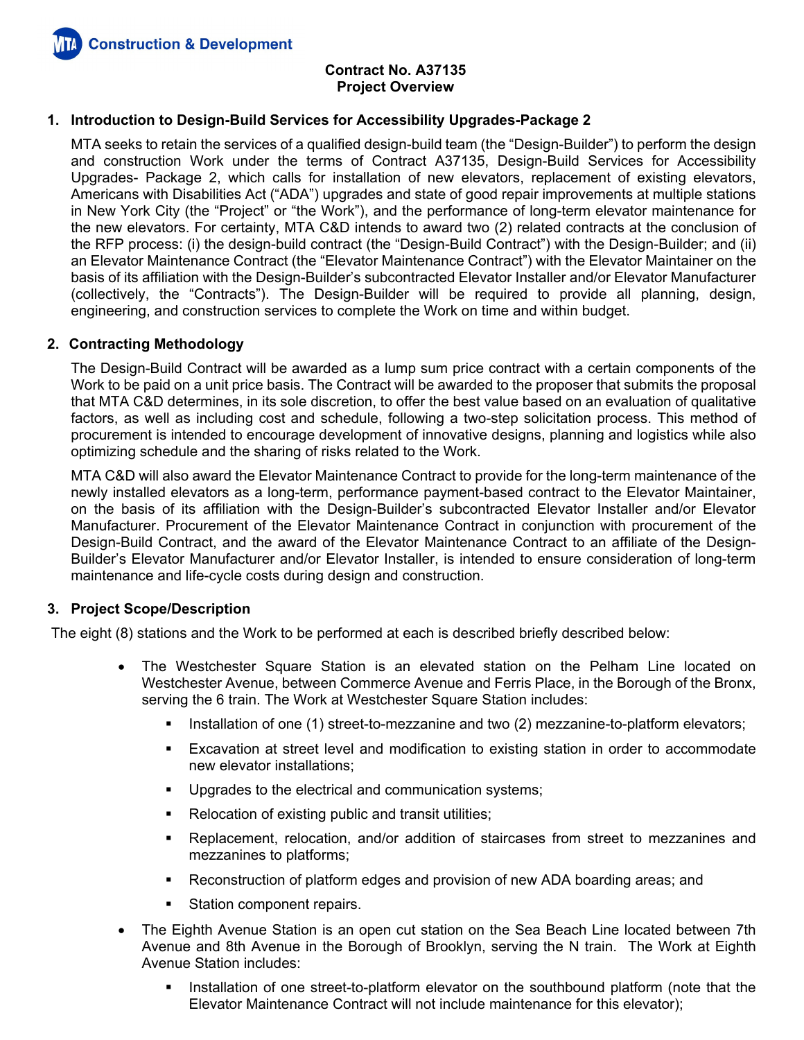

### **1. Introduction to Design-Build Services for Accessibility Upgrades-Package 2**

MTA seeks to retain the services of a qualified design-build team (the "Design-Builder") to perform the design and construction Work under the terms of Contract A37135, Design-Build Services for Accessibility Upgrades- Package 2, which calls for installation of new elevators, replacement of existing elevators, Americans with Disabilities Act ("ADA") upgrades and state of good repair improvements at multiple stations in New York City (the "Project" or "the Work"), and the performance of long-term elevator maintenance for the new elevators. For certainty, MTA C&D intends to award two (2) related contracts at the conclusion of the RFP process: (i) the design-build contract (the "Design-Build Contract") with the Design-Builder; and (ii) an Elevator Maintenance Contract (the "Elevator Maintenance Contract") with the Elevator Maintainer on the basis of its affiliation with the Design-Builder's subcontracted Elevator Installer and/or Elevator Manufacturer (collectively, the "Contracts"). The Design-Builder will be required to provide all planning, design, engineering, and construction services to complete the Work on time and within budget.

### **2. Contracting Methodology**

The Design-Build Contract will be awarded as a lump sum price contract with a certain components of the Work to be paid on a unit price basis. The Contract will be awarded to the proposer that submits the proposal that MTA C&D determines, in its sole discretion, to offer the best value based on an evaluation of qualitative factors, as well as including cost and schedule, following a two-step solicitation process. This method of procurement is intended to encourage development of innovative designs, planning and logistics while also optimizing schedule and the sharing of risks related to the Work.

MTA C&D will also award the Elevator Maintenance Contract to provide for the long-term maintenance of the newly installed elevators as a long-term, performance payment-based contract to the Elevator Maintainer, on the basis of its affiliation with the Design-Builder's subcontracted Elevator Installer and/or Elevator Manufacturer. Procurement of the Elevator Maintenance Contract in conjunction with procurement of the Design-Build Contract, and the award of the Elevator Maintenance Contract to an affiliate of the Design-Builder's Elevator Manufacturer and/or Elevator Installer, is intended to ensure consideration of long-term maintenance and life-cycle costs during design and construction.

### **3. Project Scope/Description**

The eight (8) stations and the Work to be performed at each is described briefly described below:

- The Westchester Square Station is an elevated station on the Pelham Line located on Westchester Avenue, between Commerce Avenue and Ferris Place, in the Borough of the Bronx, serving the 6 train. The Work at Westchester Square Station includes:
	- Installation of one (1) street-to-mezzanine and two (2) mezzanine-to-platform elevators;
	- Excavation at street level and modification to existing station in order to accommodate new elevator installations;
	- **Upgrades to the electrical and communication systems;**
	- Relocation of existing public and transit utilities;
	- Replacement, relocation, and/or addition of staircases from street to mezzanines and mezzanines to platforms;
	- Reconstruction of platform edges and provision of new ADA boarding areas; and
	- **Station component repairs.**
- The Eighth Avenue Station is an open cut station on the Sea Beach Line located between 7th Avenue and 8th Avenue in the Borough of Brooklyn, serving the N train. The Work at Eighth Avenue Station includes:
	- Installation of one street-to-platform elevator on the southbound platform (note that the Elevator Maintenance Contract will not include maintenance for this elevator);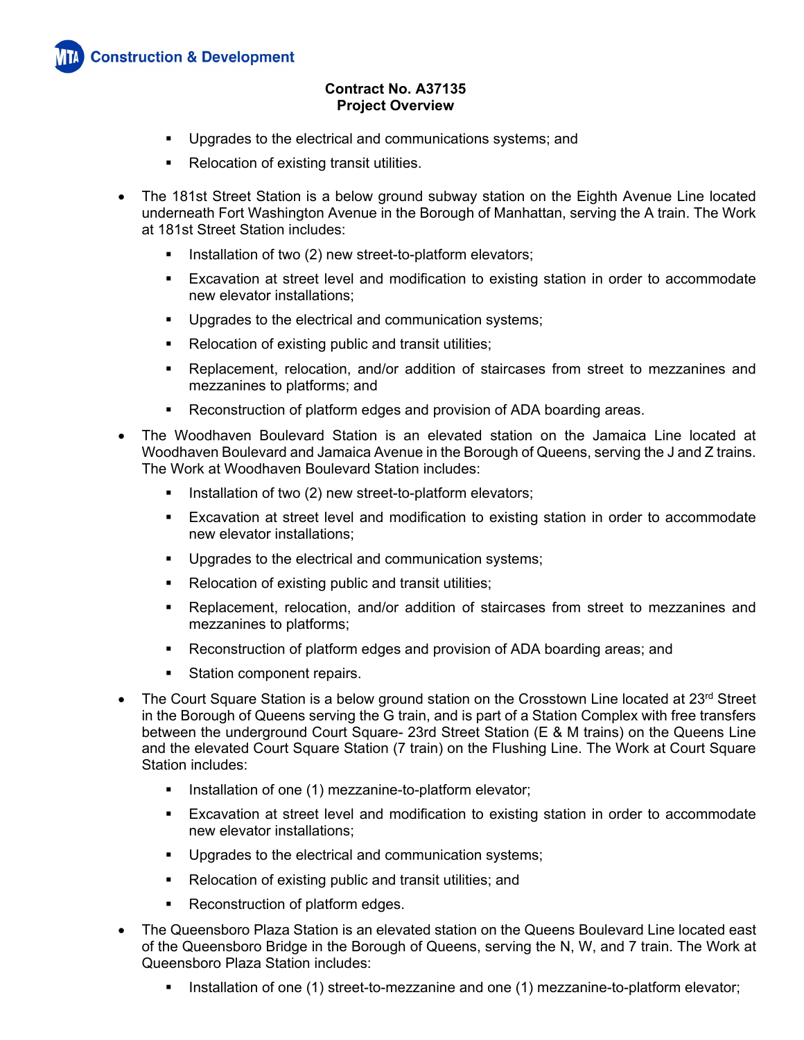- **Upgrades to the electrical and communications systems; and**
- Relocation of existing transit utilities.
- The 181st Street Station is a below ground subway station on the Eighth Avenue Line located underneath Fort Washington Avenue in the Borough of Manhattan, serving the A train. The Work at 181st Street Station includes:
	- Installation of two (2) new street-to-platform elevators;
	- Excavation at street level and modification to existing station in order to accommodate new elevator installations;
	- **Upgrades to the electrical and communication systems;**
	- **Relocation of existing public and transit utilities;**
	- Replacement, relocation, and/or addition of staircases from street to mezzanines and mezzanines to platforms; and
	- Reconstruction of platform edges and provision of ADA boarding areas.
- The Woodhaven Boulevard Station is an elevated station on the Jamaica Line located at Woodhaven Boulevard and Jamaica Avenue in the Borough of Queens, serving the J and Z trains. The Work at Woodhaven Boulevard Station includes:
	- Installation of two (2) new street-to-platform elevators;
	- Excavation at street level and modification to existing station in order to accommodate new elevator installations;
	- **Upgrades to the electrical and communication systems;**
	- Relocation of existing public and transit utilities;
	- Replacement, relocation, and/or addition of staircases from street to mezzanines and mezzanines to platforms;
	- Reconstruction of platform edges and provision of ADA boarding areas; and
	- **Station component repairs.**
- The Court Square Station is a below ground station on the Crosstown Line located at  $23<sup>rd</sup>$  Street in the Borough of Queens serving the G train, and is part of a Station Complex with free transfers between the underground Court Square- 23rd Street Station (E & M trains) on the Queens Line and the elevated Court Square Station (7 train) on the Flushing Line. The Work at Court Square Station includes:
	- Installation of one (1) mezzanine-to-platform elevator;
	- Excavation at street level and modification to existing station in order to accommodate new elevator installations;
	- **Upgrades to the electrical and communication systems;**
	- Relocation of existing public and transit utilities; and
	- Reconstruction of platform edges.
- The Queensboro Plaza Station is an elevated station on the Queens Boulevard Line located east of the Queensboro Bridge in the Borough of Queens, serving the N, W, and 7 train. The Work at Queensboro Plaza Station includes:
	- Installation of one (1) street-to-mezzanine and one (1) mezzanine-to-platform elevator;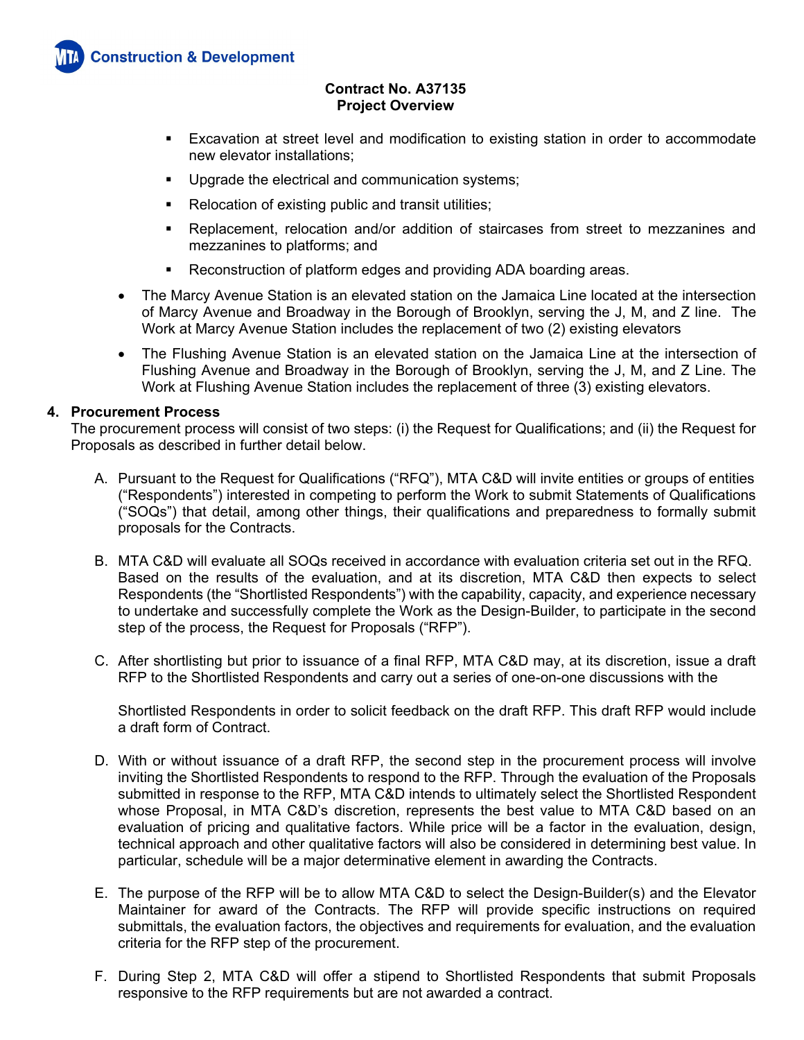- Excavation at street level and modification to existing station in order to accommodate new elevator installations;
- **Upgrade the electrical and communication systems;**
- Relocation of existing public and transit utilities;
- Replacement, relocation and/or addition of staircases from street to mezzanines and mezzanines to platforms; and
- Reconstruction of platform edges and providing ADA boarding areas.
- The Marcy Avenue Station is an elevated station on the Jamaica Line located at the intersection of Marcy Avenue and Broadway in the Borough of Brooklyn, serving the J, M, and Z line. The Work at Marcy Avenue Station includes the replacement of two (2) existing elevators
- The Flushing Avenue Station is an elevated station on the Jamaica Line at the intersection of Flushing Avenue and Broadway in the Borough of Brooklyn, serving the J, M, and Z Line. The Work at Flushing Avenue Station includes the replacement of three (3) existing elevators.

### **4. Procurement Process**

The procurement process will consist of two steps: (i) the Request for Qualifications; and (ii) the Request for Proposals as described in further detail below.

- A. Pursuant to the Request for Qualifications ("RFQ"), MTA C&D will invite entities or groups of entities ("Respondents") interested in competing to perform the Work to submit Statements of Qualifications ("SOQs") that detail, among other things, their qualifications and preparedness to formally submit proposals for the Contracts.
- B. MTA C&D will evaluate all SOQs received in accordance with evaluation criteria set out in the RFQ. Based on the results of the evaluation, and at its discretion, MTA C&D then expects to select Respondents (the "Shortlisted Respondents") with the capability, capacity, and experience necessary to undertake and successfully complete the Work as the Design-Builder, to participate in the second step of the process, the Request for Proposals ("RFP").
- C. After shortlisting but prior to issuance of a final RFP, MTA C&D may, at its discretion, issue a draft RFP to the Shortlisted Respondents and carry out a series of one-on-one discussions with the

Shortlisted Respondents in order to solicit feedback on the draft RFP. This draft RFP would include a draft form of Contract.

- D. With or without issuance of a draft RFP, the second step in the procurement process will involve inviting the Shortlisted Respondents to respond to the RFP. Through the evaluation of the Proposals submitted in response to the RFP, MTA C&D intends to ultimately select the Shortlisted Respondent whose Proposal, in MTA C&D's discretion, represents the best value to MTA C&D based on an evaluation of pricing and qualitative factors. While price will be a factor in the evaluation, design, technical approach and other qualitative factors will also be considered in determining best value. In particular, schedule will be a major determinative element in awarding the Contracts.
- E. The purpose of the RFP will be to allow MTA C&D to select the Design-Builder(s) and the Elevator Maintainer for award of the Contracts. The RFP will provide specific instructions on required submittals, the evaluation factors, the objectives and requirements for evaluation, and the evaluation criteria for the RFP step of the procurement.
- F. During Step 2, MTA C&D will offer a stipend to Shortlisted Respondents that submit Proposals responsive to the RFP requirements but are not awarded a contract.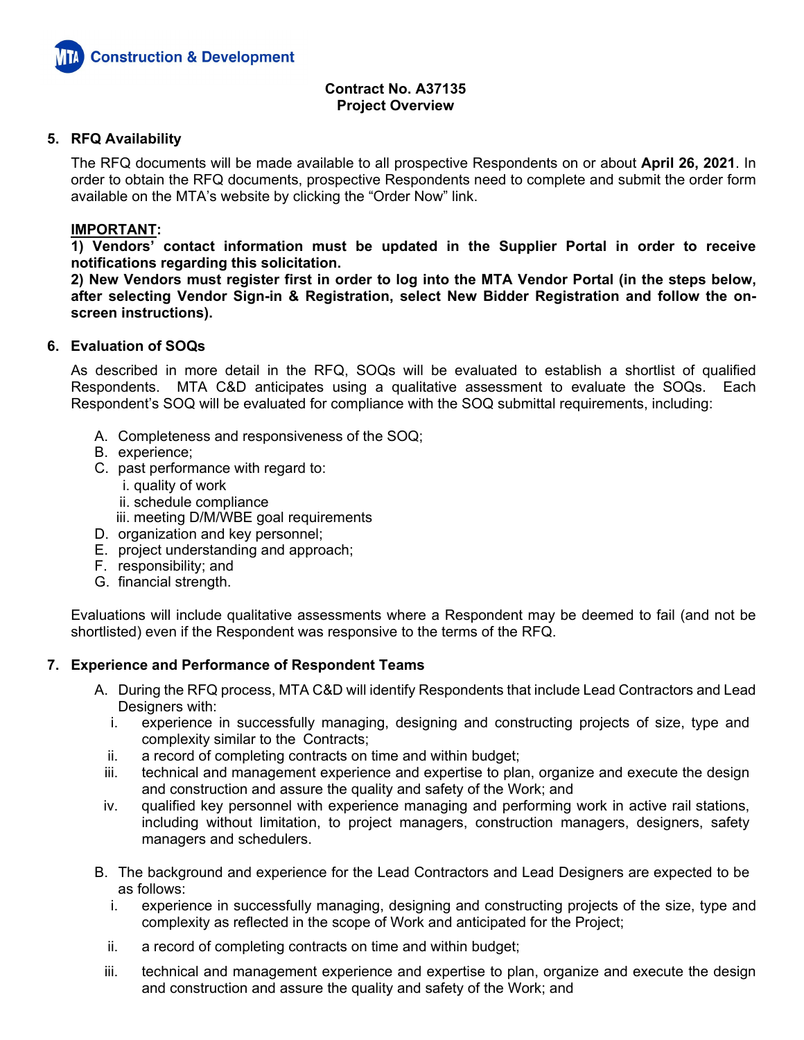

### **5. RFQ Availability**

The RFQ documents will be made available to all prospective Respondents on or about **April 26, 2021**. In order to obtain the RFQ documents, prospective Respondents need to complete and submit the order form available on the MTA's website by clicking the "Order Now" link.

### **IMPORTANT:**

**1) Vendors' contact information must be updated in the Supplier Portal in order to receive notifications regarding this solicitation.** 

**2) New Vendors must register first in order to log into the MTA Vendor Portal (in the steps below, after selecting Vendor Sign-in & Registration, select New Bidder Registration and follow the onscreen instructions).** 

### **6. Evaluation of SOQs**

As described in more detail in the RFQ, SOQs will be evaluated to establish a shortlist of qualified Respondents. MTA C&D anticipates using a qualitative assessment to evaluate the SOQs. Each Respondent's SOQ will be evaluated for compliance with the SOQ submittal requirements, including:

- A. Completeness and responsiveness of the SOQ;
- B. experience;
- C. past performance with regard to:
	- i. quality of work
	- ii. schedule compliance
	- iii. meeting D/M/WBE goal requirements
- D. organization and key personnel;
- E. project understanding and approach;
- F. responsibility; and
- G. financial strength.

Evaluations will include qualitative assessments where a Respondent may be deemed to fail (and not be shortlisted) even if the Respondent was responsive to the terms of the RFQ.

### **7. Experience and Performance of Respondent Teams**

- A. During the RFQ process, MTA C&D will identify Respondents that include Lead Contractors and Lead Designers with:
	- i. experience in successfully managing, designing and constructing projects of size, type and complexity similar to the Contracts;
	- ii. a record of completing contracts on time and within budget;
	- iii. technical and management experience and expertise to plan, organize and execute the design and construction and assure the quality and safety of the Work; and
	- iv. qualified key personnel with experience managing and performing work in active rail stations, including without limitation, to project managers, construction managers, designers, safety managers and schedulers.
- B. The background and experience for the Lead Contractors and Lead Designers are expected to be as follows:
	- i. experience in successfully managing, designing and constructing projects of the size, type and complexity as reflected in the scope of Work and anticipated for the Project;
	- ii. a record of completing contracts on time and within budget;
	- iii. technical and management experience and expertise to plan, organize and execute the design and construction and assure the quality and safety of the Work; and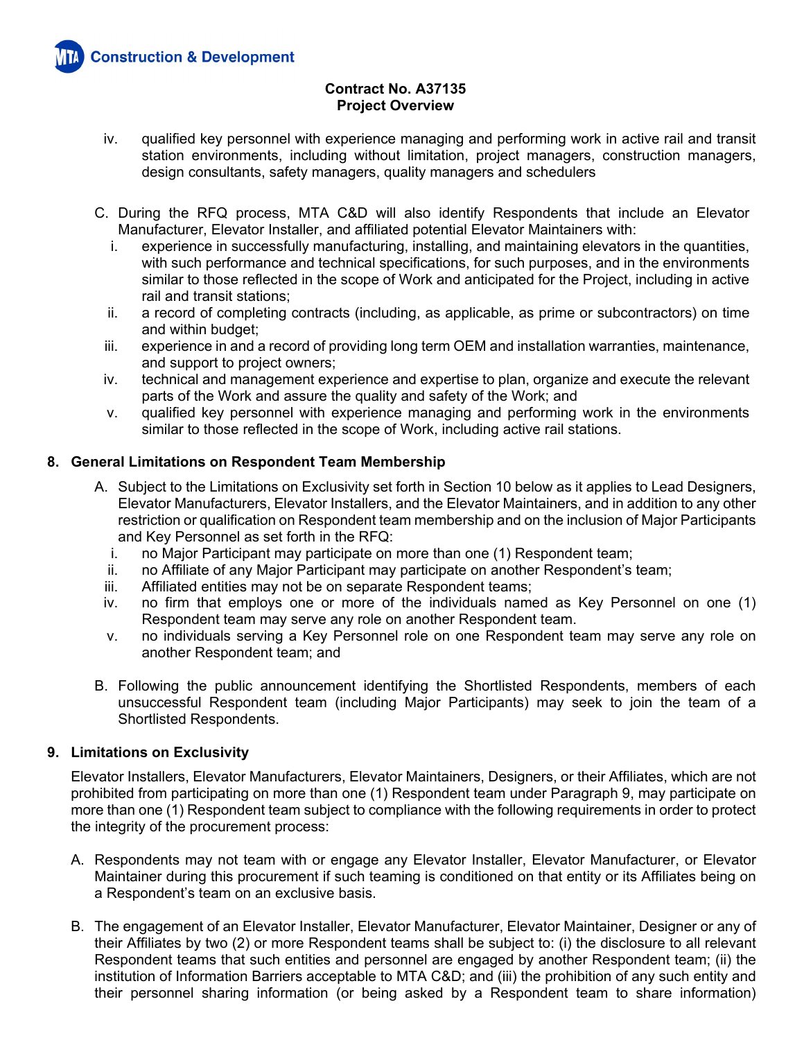

- iv. qualified key personnel with experience managing and performing work in active rail and transit station environments, including without limitation, project managers, construction managers, design consultants, safety managers, quality managers and schedulers
- C. During the RFQ process, MTA C&D will also identify Respondents that include an Elevator Manufacturer, Elevator Installer, and affiliated potential Elevator Maintainers with:
	- i. experience in successfully manufacturing, installing, and maintaining elevators in the quantities, with such performance and technical specifications, for such purposes, and in the environments similar to those reflected in the scope of Work and anticipated for the Project, including in active rail and transit stations;
	- ii. a record of completing contracts (including, as applicable, as prime or subcontractors) on time and within budget;
	- iii. experience in and a record of providing long term OEM and installation warranties, maintenance, and support to project owners;
	- iv. technical and management experience and expertise to plan, organize and execute the relevant parts of the Work and assure the quality and safety of the Work; and
	- v. qualified key personnel with experience managing and performing work in the environments similar to those reflected in the scope of Work, including active rail stations.

## **8. General Limitations on Respondent Team Membership**

- A. Subject to the Limitations on Exclusivity set forth in Section 10 below as it applies to Lead Designers, Elevator Manufacturers, Elevator Installers, and the Elevator Maintainers, and in addition to any other restriction or qualification on Respondent team membership and on the inclusion of Major Participants and Key Personnel as set forth in the RFQ:
	- i. no Major Participant may participate on more than one (1) Respondent team;
	- ii. no Affiliate of any Major Participant may participate on another Respondent's team;
	- iii. Affiliated entities may not be on separate Respondent teams;
	- iv. no firm that employs one or more of the individuals named as Key Personnel on one (1) Respondent team may serve any role on another Respondent team.
	- v. no individuals serving a Key Personnel role on one Respondent team may serve any role on another Respondent team; and
- B. Following the public announcement identifying the Shortlisted Respondents, members of each unsuccessful Respondent team (including Major Participants) may seek to join the team of a Shortlisted Respondents.

## **9. Limitations on Exclusivity**

Elevator Installers, Elevator Manufacturers, Elevator Maintainers, Designers, or their Affiliates, which are not prohibited from participating on more than one (1) Respondent team under Paragraph 9, may participate on more than one (1) Respondent team subject to compliance with the following requirements in order to protect the integrity of the procurement process:

- A. Respondents may not team with or engage any Elevator Installer, Elevator Manufacturer, or Elevator Maintainer during this procurement if such teaming is conditioned on that entity or its Affiliates being on a Respondent's team on an exclusive basis.
- B. The engagement of an Elevator Installer, Elevator Manufacturer, Elevator Maintainer, Designer or any of their Affiliates by two (2) or more Respondent teams shall be subject to: (i) the disclosure to all relevant Respondent teams that such entities and personnel are engaged by another Respondent team; (ii) the institution of Information Barriers acceptable to MTA C&D; and (iii) the prohibition of any such entity and their personnel sharing information (or being asked by a Respondent team to share information)